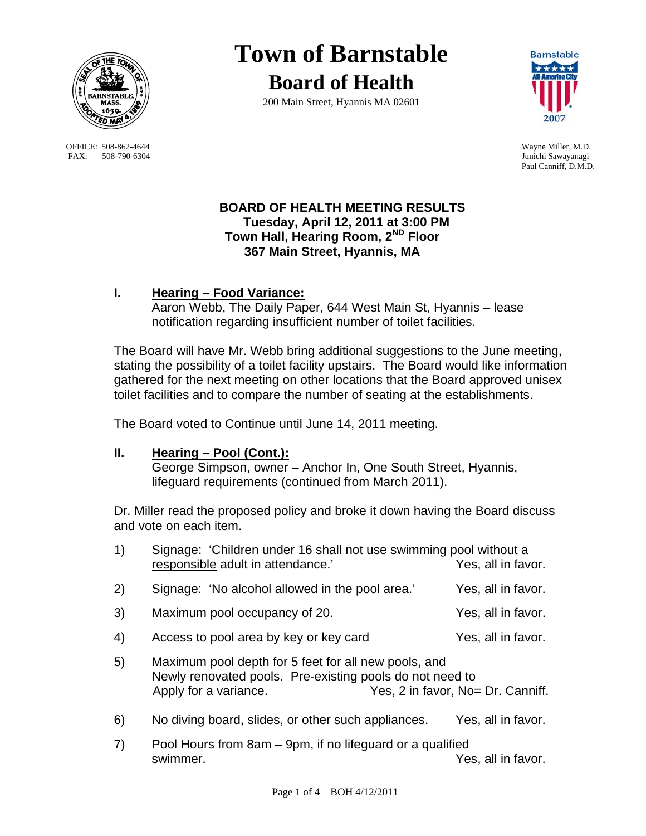

OFFICE: 508-862-4644 Wayne Miller, M.D.<br>
FAX: 508-790-6304 Junichi Sawayanagi FAX: 508-790-6304

# **Town of Barnstable Board of Health**

200 Main Street, Hyannis MA 02601



Paul Canniff, D.M.D.

## **BOARD OF HEALTH MEETING RESULTS Tuesday, April 12, 2011 at 3:00 PM Town Hall, Hearing Room, 2ND Floor 367 Main Street, Hyannis, MA**

# **I. Hearing – Food Variance:**

 Aaron Webb, The Daily Paper, 644 West Main St, Hyannis – lease notification regarding insufficient number of toilet facilities.

The Board will have Mr. Webb bring additional suggestions to the June meeting, stating the possibility of a toilet facility upstairs. The Board would like information gathered for the next meeting on other locations that the Board approved unisex toilet facilities and to compare the number of seating at the establishments.

The Board voted to Continue until June 14, 2011 meeting.

## **II. Hearing – Pool (Cont.):**

 George Simpson, owner – Anchor In, One South Street, Hyannis, lifeguard requirements (continued from March 2011).

Dr. Miller read the proposed policy and broke it down having the Board discuss and vote on each item.

| 1) | Signage: 'Children under 16 shall not use swimming pool without a<br>responsible adult in attendance.'                                                                         | Yes, all in favor. |
|----|--------------------------------------------------------------------------------------------------------------------------------------------------------------------------------|--------------------|
| 2) | Signage: 'No alcohol allowed in the pool area.'                                                                                                                                | Yes, all in favor. |
| 3) | Maximum pool occupancy of 20.                                                                                                                                                  | Yes, all in favor. |
| 4) | Access to pool area by key or key card                                                                                                                                         | Yes, all in favor. |
| 5) | Maximum pool depth for 5 feet for all new pools, and<br>Newly renovated pools. Pre-existing pools do not need to<br>Yes, 2 in favor, No= Dr. Canniff.<br>Apply for a variance. |                    |
| 6) | No diving board, slides, or other such appliances.                                                                                                                             | Yes, all in favor. |
| 7) | Pool Hours from 8am – 9pm, if no lifeguard or a qualified<br>swimmer.                                                                                                          | Yes, all in favor. |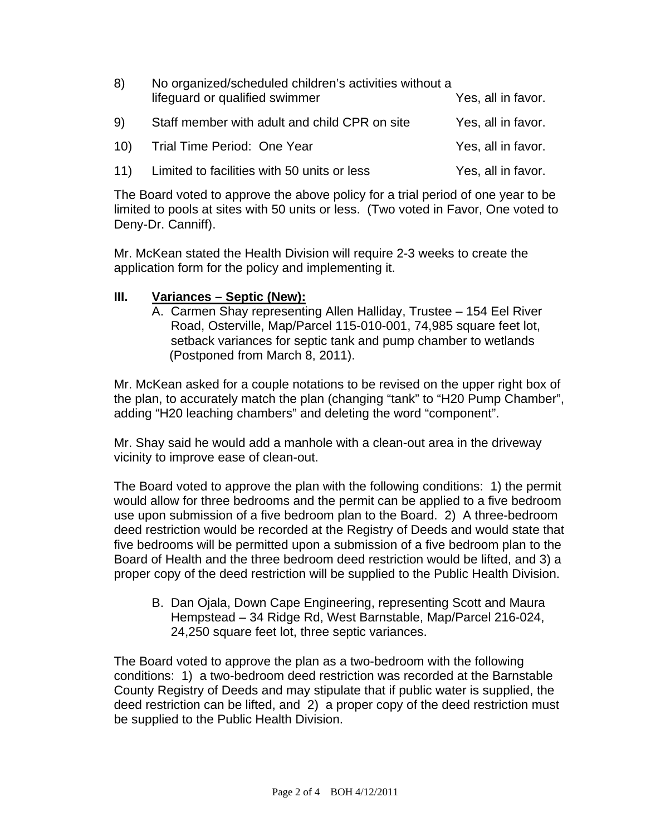| 8)  | No organized/scheduled children's activities without a<br>lifeguard or qualified swimmer | Yes, all in favor. |
|-----|------------------------------------------------------------------------------------------|--------------------|
| 9)  | Staff member with adult and child CPR on site                                            | Yes, all in favor. |
| 10) | Trial Time Period: One Year                                                              | Yes, all in favor. |
| 11) | Limited to facilities with 50 units or less                                              | Yes, all in favor. |

The Board voted to approve the above policy for a trial period of one year to be limited to pools at sites with 50 units or less. (Two voted in Favor, One voted to Deny-Dr. Canniff).

Mr. McKean stated the Health Division will require 2-3 weeks to create the application form for the policy and implementing it.

## **III. Variances – Septic (New):**

A. Carmen Shay representing Allen Halliday, Trustee – 154 Eel River Road, Osterville, Map/Parcel 115-010-001, 74,985 square feet lot, setback variances for septic tank and pump chamber to wetlands (Postponed from March 8, 2011).

Mr. McKean asked for a couple notations to be revised on the upper right box of the plan, to accurately match the plan (changing "tank" to "H20 Pump Chamber", adding "H20 leaching chambers" and deleting the word "component".

Mr. Shay said he would add a manhole with a clean-out area in the driveway vicinity to improve ease of clean-out.

The Board voted to approve the plan with the following conditions: 1) the permit would allow for three bedrooms and the permit can be applied to a five bedroom use upon submission of a five bedroom plan to the Board. 2) A three-bedroom deed restriction would be recorded at the Registry of Deeds and would state that five bedrooms will be permitted upon a submission of a five bedroom plan to the Board of Health and the three bedroom deed restriction would be lifted, and 3) a proper copy of the deed restriction will be supplied to the Public Health Division.

B. Dan Ojala, Down Cape Engineering, representing Scott and Maura Hempstead – 34 Ridge Rd, West Barnstable, Map/Parcel 216-024, 24,250 square feet lot, three septic variances.

The Board voted to approve the plan as a two-bedroom with the following conditions: 1) a two-bedroom deed restriction was recorded at the Barnstable County Registry of Deeds and may stipulate that if public water is supplied, the deed restriction can be lifted, and 2) a proper copy of the deed restriction must be supplied to the Public Health Division.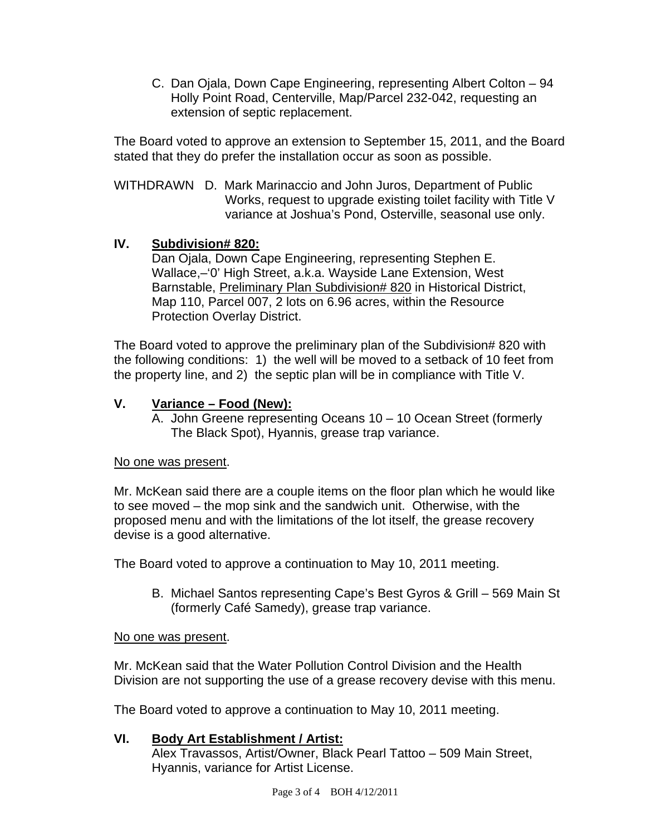C. Dan Ojala, Down Cape Engineering, representing Albert Colton – 94 Holly Point Road, Centerville, Map/Parcel 232-042, requesting an extension of septic replacement.

The Board voted to approve an extension to September 15, 2011, and the Board stated that they do prefer the installation occur as soon as possible.

WITHDRAWN D. Mark Marinaccio and John Juros, Department of Public Works, request to upgrade existing toilet facility with Title V variance at Joshua's Pond, Osterville, seasonal use only.

## **IV. Subdivision# 820:**

Dan Ojala, Down Cape Engineering, representing Stephen E. Wallace,–'0' High Street, a.k.a. Wayside Lane Extension, West Barnstable, Preliminary Plan Subdivision# 820 in Historical District, Map 110, Parcel 007, 2 lots on 6.96 acres, within the Resource Protection Overlay District.

The Board voted to approve the preliminary plan of the Subdivision# 820 with the following conditions: 1) the well will be moved to a setback of 10 feet from the property line, and 2) the septic plan will be in compliance with Title V.

## **V. Variance – Food (New):**

A. John Greene representing Oceans 10 – 10 Ocean Street (formerly The Black Spot), Hyannis, grease trap variance.

## No one was present.

Mr. McKean said there are a couple items on the floor plan which he would like to see moved – the mop sink and the sandwich unit. Otherwise, with the proposed menu and with the limitations of the lot itself, the grease recovery devise is a good alternative.

The Board voted to approve a continuation to May 10, 2011 meeting.

B. Michael Santos representing Cape's Best Gyros & Grill – 569 Main St (formerly Café Samedy), grease trap variance.

## No one was present.

Mr. McKean said that the Water Pollution Control Division and the Health Division are not supporting the use of a grease recovery devise with this menu.

The Board voted to approve a continuation to May 10, 2011 meeting.

## **VI. Body Art Establishment / Artist:**

 Alex Travassos, Artist/Owner, Black Pearl Tattoo – 509 Main Street, Hyannis, variance for Artist License.